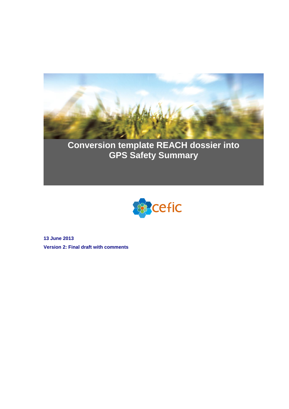

# **Conversion template REACH dossier into GPS Safety Summary**



**13 June 2013 Version 2: Final draft with comments**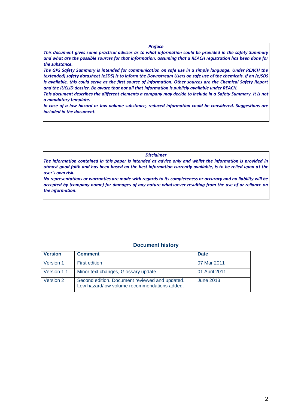#### *Preface*

*This document gives some practical advises as to what information could be provided in the safety Summary and what are the possible sources for that information, assuming that a REACH registration has been done for the substance.* 

*The GPS Safety Summary is intended for communication on safe use in a simple language. Under REACH the (extended) safety datasheet (eSDS) is to inform the Downstream Users on safe use of the chemicals. If an (e)SDS is available, this could serve as the first source of information. Other sources are the Chemical Safety Report and the IUCLID dossier. Be aware that not all that information is publicly available under REACH.* 

*This document describes the different elements a company may decide to include in a Safety Summary. It is not a mandatory template.*

*In case of a low hazard or low volume substance, reduced information could be considered. Suggestions are included in the document.*

*Disclaimer*

*The information contained in this paper is intended as advice only and whilst the information is provided in utmost good faith and has been based on the best information currently available, is to be relied upon at the user's own risk.*

*No representations or warranties are made with regards to its completeness or accuracy and no liability will be accepted by (company name) for damages of any nature whatsoever resulting from the use of or reliance on the information.*

#### **Document history**

| <b>Version</b> | <b>Comment</b>                                                                                 | <b>Date</b>      |
|----------------|------------------------------------------------------------------------------------------------|------------------|
| Version 1      | <b>First edition</b>                                                                           | 07 Mar 2011      |
| Version 1.1    | Minor text changes, Glossary update                                                            | 01 April 2011    |
| Version 2      | Second edition. Document reviewed and updated.<br>Low hazard/low volume recommendations added. | <b>June 2013</b> |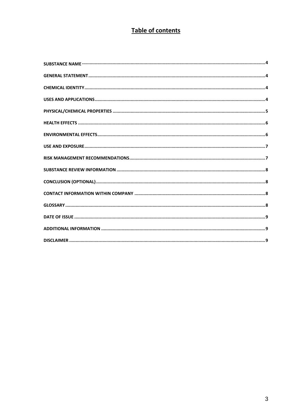# Table of contents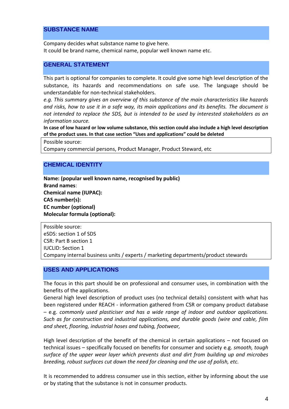### <span id="page-3-0"></span>**SUBSTANCE NAME**

Company decides what substance name to give here. It could be brand name, chemical name, popular well known name etc.

#### <span id="page-3-1"></span>**GENERAL STATEMENT**

This part is optional for companies to complete. It could give some high level description of the substance, its hazards and recommendations on safe use. The language should be understandable for non-technical stakeholders.

*e.g. This summary gives an overview of this substance of the main characteristics like hazards and risks, how to use it in a safe way, its main applications and its benefits. The document is not intended to replace the SDS, but is intended to be used by interested stakeholders as an information source.*

**In case of low hazard or low volume substance, this section could also include a high level description of the product uses. In that case section "Uses and applications" could be deleted**

Possible source:

Company commercial persons, Product Manager, Product Steward, etc

#### <span id="page-3-2"></span>**CHEMICAL IDENTITY**

**Name: (popular well known name, recognised by public) Brand names**: **Chemical name (IUPAC): CAS number(s): EC number (optional) Molecular formula (optional):** 

Possible source: eSDS: section 1 of SDS CSR: Part B section 1 IUCLID: Section 1 Company internal business units / experts / marketing departments/product stewards

#### <span id="page-3-3"></span>**USES AND APPLICATIONS**

The focus in this part should be on professional and consumer uses, in combination with the benefits of the applications.

General high level description of product uses (no technical details) consistent with what has been registered under REACH - information gathered from CSR or company product database – e.g. *commonly used plasticiser and has a wide range of indoor and outdoor applications. Such as for construction and industrial applications, and durable goods (wire and cable, film and sheet, flooring, industrial hoses and tubing, footwear,*

High level description of the benefit of the chemical in certain applications – not focused on technical issues – specifically focused on benefits for consumer and society e.g. *smooth, tough surface of the upper wear layer which prevents dust and dirt from building up and microbes breeding, robust surfaces cut down the need for cleaning and the use of polish, etc.*

It is recommended to address consumer use in this section, either by informing about the use or by stating that the substance is not in consumer products.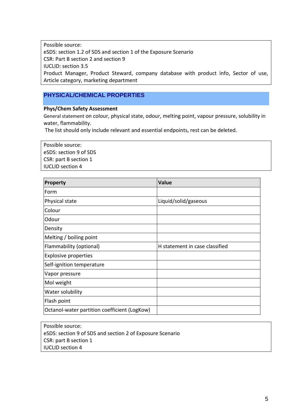Possible source: eSDS: section 1.2 of SDS and section 1 of the Exposure Scenario CSR: Part B section 2 and section 9 IUCLID: section 3.5 Product Manager, Product Steward, company database with product info, Sector of use, Article category, marketing department

# <span id="page-4-0"></span>**PHYSICAL/CHEMICAL PROPERTIES**

#### **Phys/Chem Safety Assessment**

General statement on colour, physical state, odour, melting point, vapour pressure, solubility in water, flammability.

The list should only include relevant and essential endpoints, rest can be deleted.

Possible source: eSDS: section 9 of SDS CSR: part B section 1 IUCLID section 4

| Property                                     | <b>Value</b>                   |  |
|----------------------------------------------|--------------------------------|--|
| Form                                         |                                |  |
| Physical state                               | Liquid/solid/gaseous           |  |
| Colour                                       |                                |  |
| Odour                                        |                                |  |
| Density                                      |                                |  |
| Melting / boiling point                      |                                |  |
| Flammability (optional)                      | H statement in case classified |  |
| <b>Explosive properties</b>                  |                                |  |
| Self-ignition temperature                    |                                |  |
| Vapor pressure                               |                                |  |
| Mol weight                                   |                                |  |
| Water solubility                             |                                |  |
| Flash point                                  |                                |  |
| Octanol-water partition coefficient (LogKow) |                                |  |

Possible source: eSDS: section 9 of SDS and section 2 of Exposure Scenario CSR: part B section 1 IUCLID section 4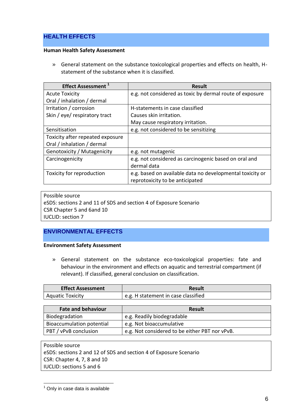# <span id="page-5-0"></span>**HEALTH EFFECTS**

#### **Human Health Safety Assessment**

» General statement on the substance toxicological properties and effects on health, Hstatement of the substance when it is classified.

| <b>Effect Assessment</b> <sup>1</sup> | <b>Result</b>                                             |  |
|---------------------------------------|-----------------------------------------------------------|--|
| <b>Acute Toxicity</b>                 | e.g. not considered as toxic by dermal route of exposure  |  |
| Oral / inhalation / dermal            |                                                           |  |
| Irritation / corrosion                | H-statements in case classified                           |  |
| Skin / eye/ respiratory tract         | Causes skin irritation.                                   |  |
|                                       | May cause respiratory irritation.                         |  |
| Sensitisation                         | e.g. not considered to be sensitizing                     |  |
| Toxicity after repeated exposure      |                                                           |  |
| Oral / inhalation / dermal            |                                                           |  |
| Genotoxicity / Mutagenicity           | e.g. not mutagenic                                        |  |
| Carcinogenicity                       | e.g. not considered as carcinogenic based on oral and     |  |
|                                       | dermal data                                               |  |
| Toxicity for reproduction             | e.g. based on available data no developmental toxicity or |  |
|                                       | reprotoxicity to be anticipated                           |  |

Possible source eSDS: sections 2 and 11 of SDS and section 4 of Exposure Scenario CSR Chapter 5 and 6and 10 IUCLID: section 7

# <span id="page-5-1"></span>**ENVIRONMENTAL EFFECTS**

#### **Environment Safety Assessment**

» General statement on the substance eco-toxicological properties: fate and behaviour in the environment and effects on aquatic and terrestrial compartment (if relevant). If classified, general conclusion on classification.

| <b>Effect Assessment</b> | <b>Result</b>                       |
|--------------------------|-------------------------------------|
| Aquatic Toxicity         | e.g. H statement in case classified |

| <b>Fate and behaviour</b>        | <b>Result</b>                                  |  |
|----------------------------------|------------------------------------------------|--|
| Biodegradation                   | e.g. Readily biodegradable                     |  |
| <b>Bioaccumulation potential</b> | e.g. Not bioaccumulative                       |  |
| PBT / vPvB conclusion            | e.g. Not considered to be either PBT nor vPvB. |  |

Possible source eSDS: sections 2 and 12 of SDS and section 4 of Exposure Scenario CSR: Chapter 4, 7, 8 and 10 IUCLID: sections 5 and 6

l  $<sup>1</sup>$  Only in case data is available</sup>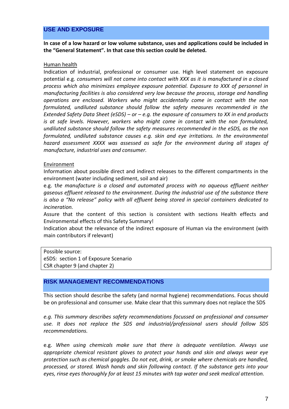### <span id="page-6-0"></span>**USE AND EXPOSURE**

**In case of a low hazard or low volume substance, uses and applications could be included in the "General Statement". In that case this section could be deleted.**

#### Human health

Indication of industrial, professional or consumer use. High level statement on exposure potential e.g. *consumers will not come into contact with XXX as it is manufactured in a closed process which also minimizes employee exposure potential. Exposure to XXX of personnel in manufacturing facilities is also considered very low because the process, storage and handling operations are enclosed. Workers who might accidentally come in contact with the non formulated, undiluted substance should follow the safety measures recommended in the Extended Safety Data Sheet (eSDS) – or – e.g. the exposure of consumers to XX in end products is at safe levels. However, workers who might come in contact with the non formulated, undiluted substance should follow the safety measures recommended in the eSDS, as the non formulated, undiluted substance causes e.g. skin and eye irritations. In the environmental hazard assessment XXXX was assessed as safe for the environment during all stages of manufacture, industrial uses and consumer.*

#### Environment

Information about possible direct and indirect releases to the different compartments in the environment (water including sediment, soil and air)

e.g. t*he manufacture is a closed and automated process with no aqueous effluent neither gaseous effluent released to the environment. During the industrial use of the substance there is also a "No release" policy with all effluent being stored in special containers dedicated to incineration.* 

Assure that the content of this section is consistent with sections Health effects and Environmental effects of this Safety Summary!

Indication about the relevance of the indirect exposure of Human via the environment (with main contributors if relevant)

Possible source: eSDS: section 1 of Exposure Scenario CSR chapter 9 (and chapter 2)

#### <span id="page-6-1"></span>**RISK MANAGEMENT RECOMMENDATIONS**

This section should describe the safety (and normal hygiene) recommendations. Focus should be on professional and consumer use. Make clear that this summary does not replace the SDS

*e.g. This summary describes safety recommendations focussed on professional and consumer use. It does not replace the SDS and industrial/professional users should follow SDS recommendations.*

e.g. *When using chemicals make sure that there is adequate ventilation. Always use appropriate chemical resistant gloves to protect your hands and skin and always wear eye protection such as chemical goggles. Do not eat, drink, or smoke where chemicals are handled, processed, or stored. Wash hands and skin following contact. If the substance gets into your eyes, rinse eyes thoroughly for at least 15 minutes with tap water and seek medical attention.*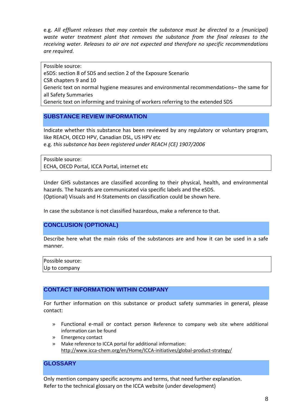e.g. *All effluent releases that may contain the substance must be directed to a (municipal) waste water treatment plant that removes the substance from the final releases to the receiving water. Releases to air are not expected and therefore no specific recommendations are required.*

Possible source: eSDS: section 8 of SDS and section 2 of the Exposure Scenario CSR chapters 9 and 10 Generic text on normal hygiene measures and environmental recommendations– the same for all Safety Summaries Generic text on informing and training of workers referring to the extended SDS

### <span id="page-7-0"></span>**SUBSTANCE REVIEW INFORMATION**

Indicate whether this substance has been reviewed by any regulatory or voluntary program, like REACH, OECD HPV, Canadian DSL, US HPV etc

e.g. *this substance has been registered under REACH (CE) 1907/2006*

Possible source: ECHA, OECD Portal, ICCA Portal, internet etc

Under GHS substances are classified according to their physical, health, and environmental hazards. The hazards are communicated via specific labels and the eSDS. (Optional) Visuals and H-Statements on classification could be shown here.

In case the substance is not classified hazardous, make a reference to that.

# <span id="page-7-1"></span>**CONCLUSION (OPTIONAL)**

Describe here what the main risks of the substances are and how it can be used in a safe manner.

| Possible source: |  |
|------------------|--|
| Up to company    |  |

# <span id="page-7-2"></span>**CONTACT INFORMATION WITHIN COMPANY**

For further information on this substance or product safety summaries in general, please contact:

- » Functional e-mail or contact person Reference to company web site where additional information can be found
- » Emergency contact
- » Make reference to ICCA portal for additional information: <http://www.icca-chem.org/en/Home/ICCA-initiatives/global-product-strategy/>

# <span id="page-7-3"></span>**GLOSSARY**

Only mention company specific acronyms and terms, that need further explanation. Refer to the technical glossary on the ICCA website (under development)